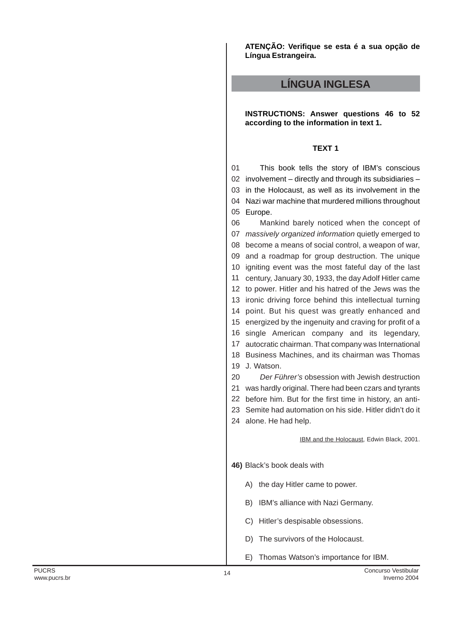**ATENÇÃO: Verifique se esta é a sua opção de Língua Estrangeira.**

# **LÍNGUA INGLESA**

**INSTRUCTIONS: Answer questions 46 to 52 according to the information in text 1.**

## **TEXT 1**

01 02 involvement – directly and through its subsidiaries – 03 in the Holocaust, as well as its involvement in the 04 Nazi war machine that murdered millions throughout 05 Europe. This book tells the story of IBM's conscious

06 07 massively organized information quietly emerged to become a means of social control, a weapon of war, and a roadmap for group destruction. The unique igniting event was the most fateful day of the last century, January 30, 1933, the day Adolf Hitler came to power. Hitler and his hatred of the Jews was the ironic driving force behind this intellectual turning point. But his quest was greatly enhanced and energized by the ingenuity and craving for profit of a single American company and its legendary, autocratic chairman. That company was International Business Machines, and its chairman was Thomas J. Watson. 20 was hardly original. There had been czars and tyrants before him. But for the first time in history, an anti- Semite had automation on his side. Hitler didn't do it Mankind barely noticed when the concept of Der Führer's obsession with Jewish destruction

24 alone. He had help.

IBM and the Holocaust, Edwin Black, 2001.

**46)** Black's book deals with

- A) the day Hitler came to power.
- B) IBM's alliance with Nazi Germany.
- C) Hitler's despisable obsessions.
- D) The survivors of the Holocaust.
- E) Thomas Watson's importance for IBM.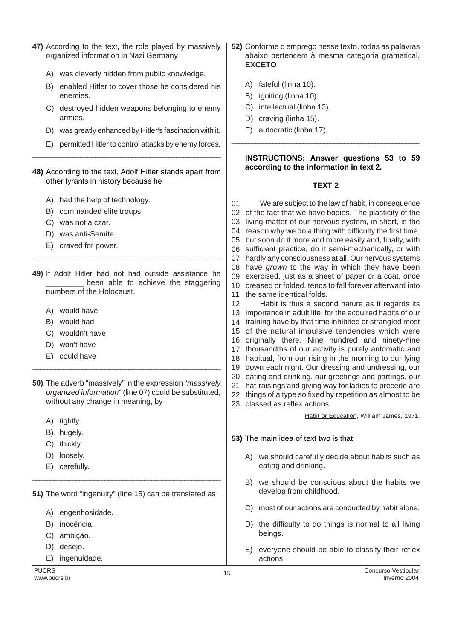- **47)** According to the text, the role played by massively organized information in Nazi Germany
	- A) was cleverly hidden from public knowledge.
	- B) enabled Hitler to cover those he considered his enemies.
	- C) destroyed hidden weapons belonging to enemy armies.
	- D) was greatly enhanced by Hitler's fascination with it.
	- E) permitted Hitler to control attacks by enemy forces.

### **48)** According to the text, Adolf Hitler stands apart from other tyrants in history because he

\_\_\_\_\_\_\_\_\_\_\_\_\_\_\_\_\_\_\_\_\_\_\_\_\_\_\_\_\_\_\_\_\_\_\_\_\_\_\_\_\_\_\_\_\_\_\_\_\_\_\_

- A) had the help of technology.
- B) commanded elite troups.
- C) was not a czar.
- D) was anti-Semite.
- E) craved for power.
- **49)** If Adolf Hitler had not had outside assistance he been able to achieve the staggering numbers of the Holocaust.

\_\_\_\_\_\_\_\_\_\_\_\_\_\_\_\_\_\_\_\_\_\_\_\_\_\_\_\_\_\_\_\_\_\_\_\_\_\_\_\_\_\_\_\_\_\_\_\_\_\_

- A) would have
- B) would had
- C) wouldn't have
- D) won't have
- E) could have
- **50)** The adverb "massively" in the expression "*massively* organized information" (line 07) could be substituted, without any change in meaning, by

\_\_\_\_\_\_\_\_\_\_\_\_\_\_\_\_\_\_\_\_\_\_\_\_\_\_\_\_\_\_\_\_\_\_\_\_\_\_\_\_\_\_\_\_\_\_\_\_\_

- A) tightly.
- B) hugely.
- C) thickly.
- D) loosely.
- E) carefully.

**51)** The word "ingenuity" (line 15) can be translated as

\_\_\_\_\_\_\_\_\_\_\_\_\_\_\_\_\_\_\_\_\_\_\_\_\_\_\_\_\_\_\_\_\_\_\_\_\_\_\_\_\_\_\_\_\_\_\_\_\_\_\_\_

- A) engenhosidade.
- B) inocência.
- C) ambição.
- D) desejo.
- E) ingenuidade.
- **52)** Conforme o emprego nesse texto, todas as palavras abaixo pertencem à mesma categoria gramatical, **EXCETO**
	- A) fateful (linha 10).
	- B) igniting (linha 10).
	- C) intellectual (linha 13).
	- D) craving (linha 15).
	- E) autocratic (linha 17).

# **INSTRUCTIONS: Answer questions 53 to 59 according to the information in text 2.**

#### **TEXT 2**

\_\_\_\_\_\_\_\_\_\_\_\_\_\_\_\_\_\_\_\_\_\_\_\_\_\_\_\_\_\_\_\_\_\_\_\_\_\_\_\_\_\_\_\_\_\_\_\_\_\_\_\_\_\_\_

01 02 of the fact that we have bodies. The plasticity of the 03 living matter of our nervous system, in short, is the 04 reason why we do a thing with difficulty the first time, 05 but soon do it more and more easily and, finally, with 06 sufficient practice, do it semi-mechanically, or with 07 hardly any consciousness at all. Our nervous systems 08 have grown to the way in which they have been 09 10 creased or folded, tends to fall forever afterward into 11 the same identical folds. 12 We are subject to the law of habit, in consequence exercised, just as a sheet of paper or a coat, once Habit is thus a second nature as it regards its

- 13 importance in adult life; for the acquired habits of our 14 training have by that time inhibited or strangled most 15 of the natural impulsive tendencies which were 16 originally there. Nine hundred and ninety-nine 17 thousandths of our activity is purely automatic and 18 habitual, from our rising in the morning to our lying 19 down each night. Our dressing and undressing, our 20 eating and drinking, our greetings and partings, our
- 21 hat-raisings and giving way for ladies to precede are
- 22 things of a type so fixed by repetition as almost to be
- 23 classed as reflex actions.

Habit or Education, William James, 1971.

- **53)** The main idea of text two is that
	- A) we should carefully decide about habits such as eating and drinking.
	- B) we should be conscious about the habits we develop from childhood.
	- C) most of our actions are conducted by habit alone.
	- D) the difficulty to do things is normal to all living beings.
	- E) everyone should be able to classify their reflex actions.